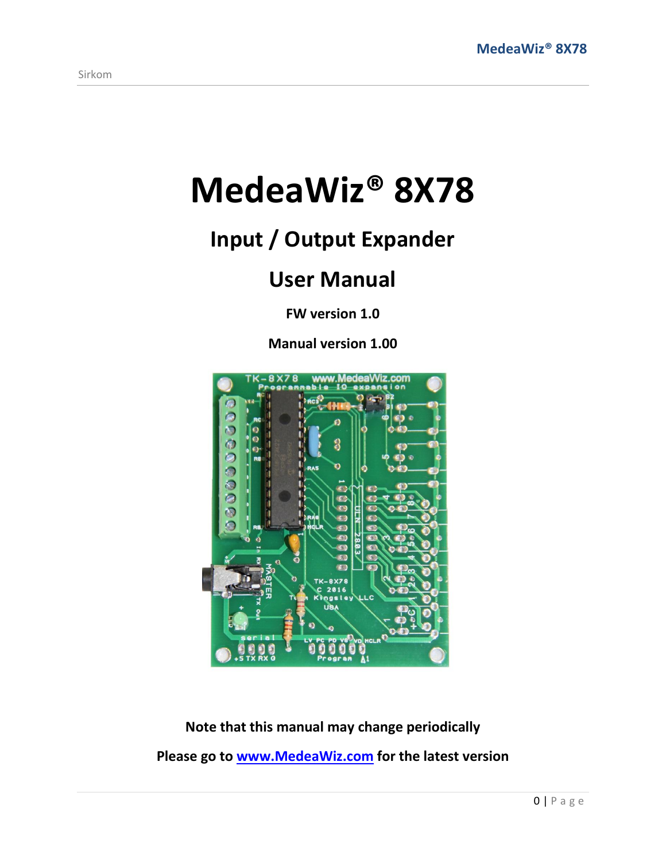# **MedeaWiz® 8X78**

# **Input / Output Expander**

## **User Manual**

**FW version 1.0** 

**Manual version 1.00**



**Note that this manual may change periodically Please go to [www.MedeaWiz.com](http://www.medeawiz.com/) for the latest version**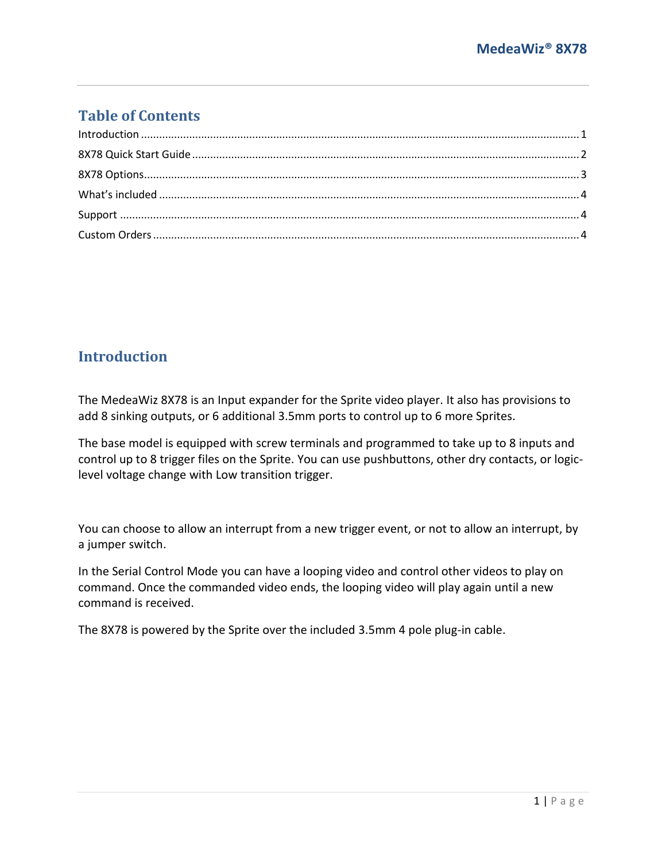### **Table of Contents**

#### <span id="page-1-0"></span>**Introduction**

The MedeaWiz 8X78 is an Input expander for the Sprite video player. It also has provisions to add 8 sinking outputs, or 6 additional 3.5mm ports to control up to 6 more Sprites.

The base model is equipped with screw terminals and programmed to take up to 8 inputs and control up to 8 trigger files on the Sprite. You can use pushbuttons, other dry contacts, or logiclevel voltage change with Low transition trigger.

You can choose to allow an interrupt from a new trigger event, or not to allow an interrupt, by a jumper switch.

In the Serial Control Mode you can have a looping video and control other videos to play on command. Once the commanded video ends, the looping video will play again until a new command is received.

The 8X78 is powered by the Sprite over the included 3.5mm 4 pole plug-in cable.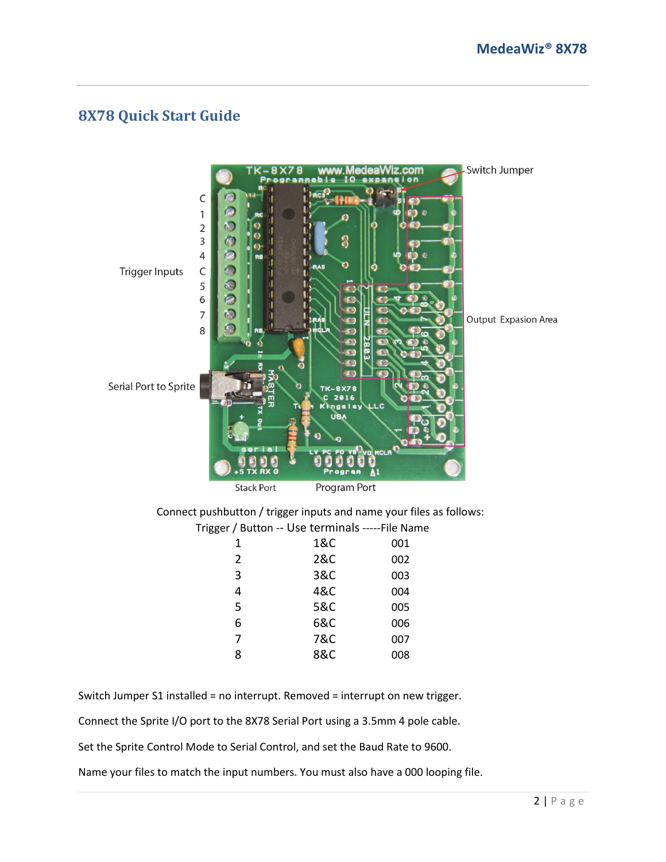#### <span id="page-2-0"></span>**8X78 Quick Start Guide**



Switch Jumper S1 installed = no interrupt. Removed = interrupt on new trigger.

Connect the Sprite I/O port to the 8X78 Serial Port using a 3.5mm 4 pole cable.

Set the Sprite Control Mode to Serial Control, and set the Baud Rate to 9600.

Name your files to match the input numbers. You must also have a 000 looping file.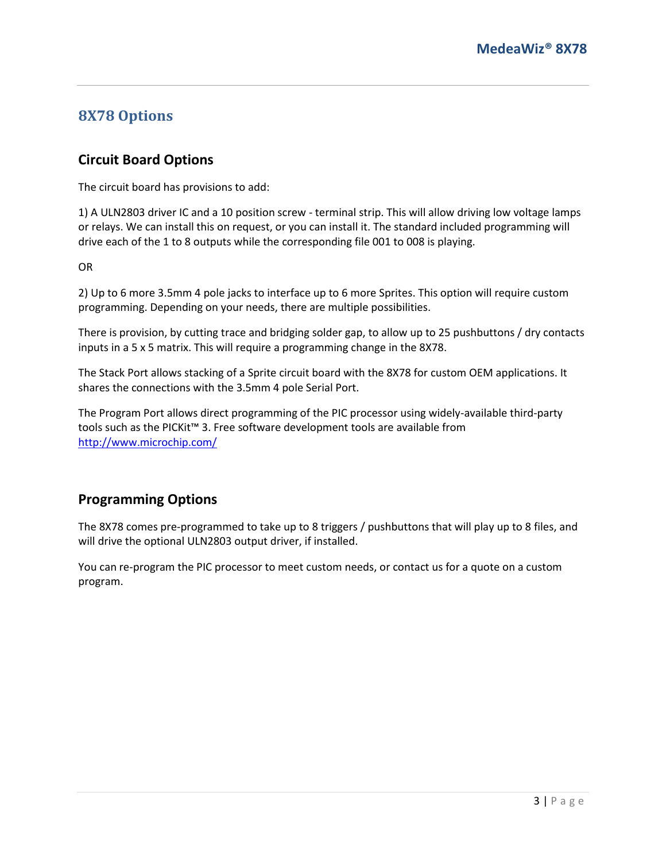#### <span id="page-3-0"></span>**8X78 Options**

#### **Circuit Board Options**

The circuit board has provisions to add:

1) A ULN2803 driver IC and a 10 position screw - terminal strip. This will allow driving low voltage lamps or relays. We can install this on request, or you can install it. The standard included programming will drive each of the 1 to 8 outputs while the corresponding file 001 to 008 is playing.

OR

2) Up to 6 more 3.5mm 4 pole jacks to interface up to 6 more Sprites. This option will require custom programming. Depending on your needs, there are multiple possibilities.

There is provision, by cutting trace and bridging solder gap, to allow up to 25 pushbuttons / dry contacts inputs in a 5 x 5 matrix. This will require a programming change in the 8X78.

The Stack Port allows stacking of a Sprite circuit board with the 8X78 for custom OEM applications. It shares the connections with the 3.5mm 4 pole Serial Port.

The Program Port allows direct programming of the PIC processor using widely-available third-party tools such as the PICKit™ 3. Free software development tools are available from <http://www.microchip.com/>

#### **Programming Options**

The 8X78 comes pre-programmed to take up to 8 triggers / pushbuttons that will play up to 8 files, and will drive the optional ULN2803 output driver, if installed.

You can re-program the PIC processor to meet custom needs, or contact us for a quote on a custom program.